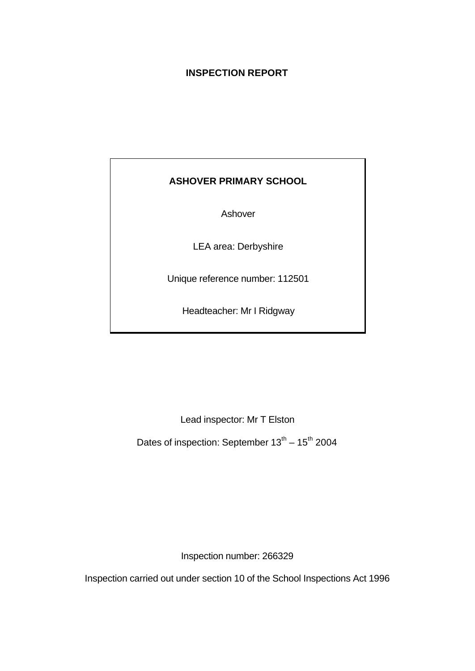### **INSPECTION REPORT**

## **ASHOVER PRIMARY SCHOOL**

Ashover

LEA area: Derbyshire

Unique reference number: 112501

Headteacher: Mr I Ridgway

Lead inspector: Mr T Elston

Dates of inspection: September  $13^{\text{th}} - 15^{\text{th}}$  2004

Inspection number: 266329

Inspection carried out under section 10 of the School Inspections Act 1996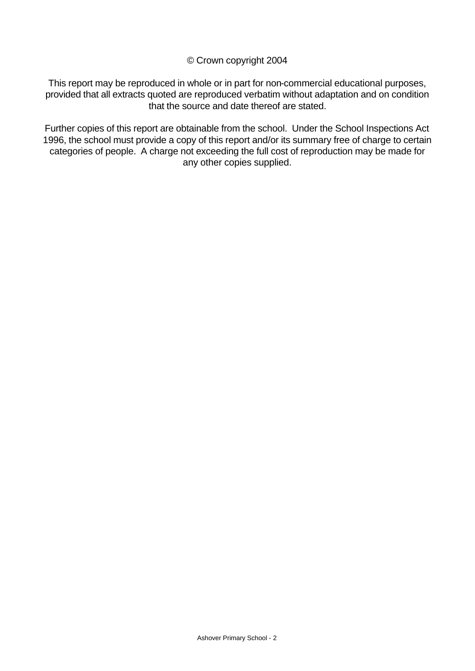#### © Crown copyright 2004

This report may be reproduced in whole or in part for non-commercial educational purposes, provided that all extracts quoted are reproduced verbatim without adaptation and on condition that the source and date thereof are stated.

Further copies of this report are obtainable from the school. Under the School Inspections Act 1996, the school must provide a copy of this report and/or its summary free of charge to certain categories of people. A charge not exceeding the full cost of reproduction may be made for any other copies supplied.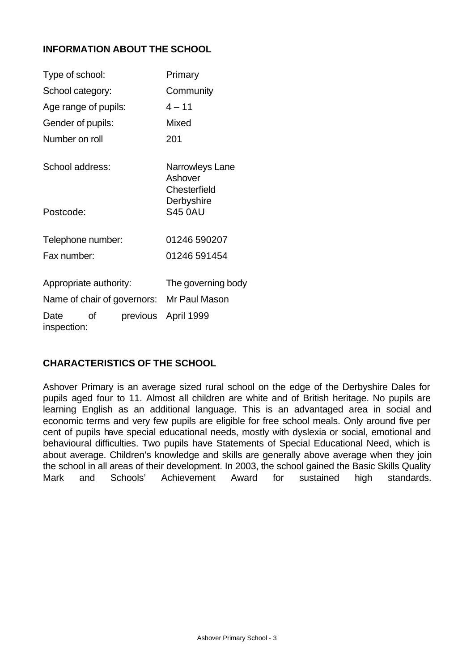### **INFORMATION ABOUT THE SCHOOL**

| Type of school:        |    |                             | Primary                                    |
|------------------------|----|-----------------------------|--------------------------------------------|
| School category:       |    |                             | Community                                  |
| Age range of pupils:   |    |                             | $4 - 11$                                   |
| Gender of pupils:      |    |                             | Mixed                                      |
| Number on roll         |    |                             | 201                                        |
| School address:        |    |                             | Narrowleys Lane<br>Ashover<br>Chesterfield |
| Postcode:              |    |                             | Derbyshire<br><b>S45 0AU</b>               |
| Telephone number:      |    |                             | 01246 590207                               |
| Fax number:            |    |                             | 01246 591454                               |
| Appropriate authority: |    |                             | The governing body                         |
|                        |    | Name of chair of governors: | Mr Paul Mason                              |
| Date<br>inspection:    | Ωf | previous                    | April 1999                                 |

#### **CHARACTERISTICS OF THE SCHOOL**

Ashover Primary is an average sized rural school on the edge of the Derbyshire Dales for pupils aged four to 11. Almost all children are white and of British heritage. No pupils are learning English as an additional language. This is an advantaged area in social and economic terms and very few pupils are eligible for free school meals. Only around five per cent of pupils have special educational needs, mostly with dyslexia or social, emotional and behavioural difficulties. Two pupils have Statements of Special Educational Need, which is about average. Children's knowledge and skills are generally above average when they join the school in all areas of their development. In 2003, the school gained the Basic Skills Quality Mark and Schools' Achievement Award for sustained high standards.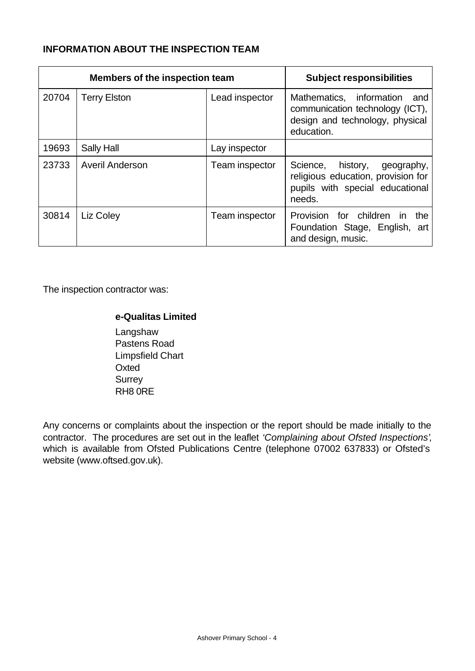### **INFORMATION ABOUT THE INSPECTION TEAM**

|       | <b>Members of the inspection team</b> |                | <b>Subject responsibilities</b>                                                                                       |
|-------|---------------------------------------|----------------|-----------------------------------------------------------------------------------------------------------------------|
| 20704 | <b>Terry Elston</b>                   | Lead inspector | Mathematics, information<br>and<br>communication technology (ICT),<br>design and technology, physical<br>education.   |
| 19693 | Sally Hall                            | Lay inspector  |                                                                                                                       |
| 23733 | <b>Averil Anderson</b>                | Team inspector | Science,<br>history,<br>geography,<br>religious education, provision for<br>pupils with special educational<br>needs. |
| 30814 | Liz Coley                             | Team inspector | Provision for children<br>the<br><b>in</b><br>Foundation Stage, English, art<br>and design, music.                    |

The inspection contractor was:

#### **e-Qualitas Limited**

Langshaw Pastens Road Limpsfield Chart **Oxted Surrey** RH8 0RE

Any concerns or complaints about the inspection or the report should be made initially to the contractor. The procedures are set out in the leaflet *'Complaining about Ofsted Inspections'*, which is available from Ofsted Publications Centre (telephone 07002 637833) or Ofsted's website (www.oftsed.gov.uk).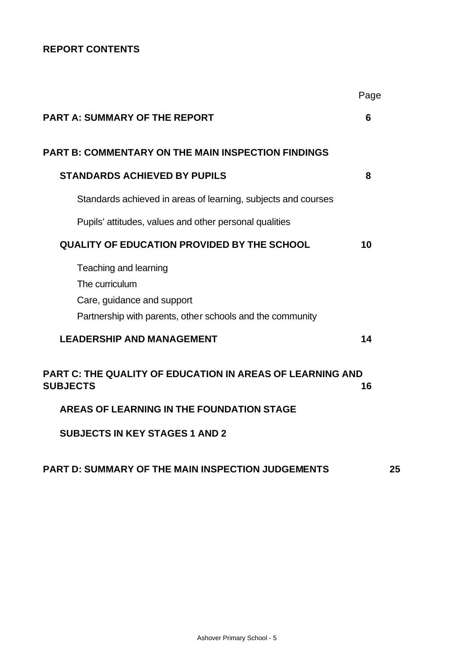### **REPORT CONTENTS**

|                                                                                                                                    | Page |
|------------------------------------------------------------------------------------------------------------------------------------|------|
| <b>PART A: SUMMARY OF THE REPORT</b>                                                                                               | 6    |
| <b>PART B: COMMENTARY ON THE MAIN INSPECTION FINDINGS</b>                                                                          |      |
| <b>STANDARDS ACHIEVED BY PUPILS</b>                                                                                                | 8    |
| Standards achieved in areas of learning, subjects and courses                                                                      |      |
| Pupils' attitudes, values and other personal qualities                                                                             |      |
| <b>QUALITY OF EDUCATION PROVIDED BY THE SCHOOL</b>                                                                                 | 10   |
| Teaching and learning<br>The curriculum<br>Care, guidance and support<br>Partnership with parents, other schools and the community |      |
| <b>LEADERSHIP AND MANAGEMENT</b>                                                                                                   | 14   |
| <b>PART C: THE QUALITY OF EDUCATION IN AREAS OF LEARNING AND</b><br><b>SUBJECTS</b>                                                | 16   |
| AREAS OF LEARNING IN THE FOUNDATION STAGE                                                                                          |      |
| <b>SUBJECTS IN KEY STAGES 1 AND 2</b>                                                                                              |      |
|                                                                                                                                    |      |

# **PART D: SUMMARY OF THE MAIN INSPECTION JUDGEMENTS 25**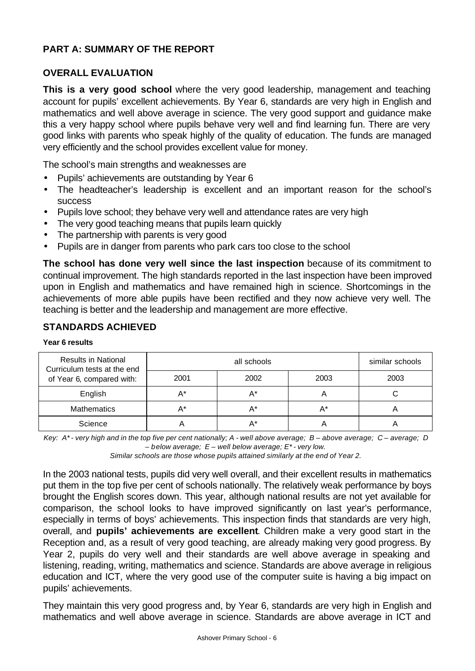### **PART A: SUMMARY OF THE REPORT**

#### **OVERALL EVALUATION**

**This is a very good school** where the very good leadership, management and teaching account for pupils' excellent achievements. By Year 6, standards are very high in English and mathematics and well above average in science. The very good support and guidance make this a very happy school where pupils behave very well and find learning fun. There are very good links with parents who speak highly of the quality of education. The funds are managed very efficiently and the school provides excellent value for money.

The school's main strengths and weaknesses are

- Pupils' achievements are outstanding by Year 6
- The headteacher's leadership is excellent and an important reason for the school's success
- Pupils love school; they behave very well and attendance rates are very high
- The very good teaching means that pupils learn quickly
- The partnership with parents is very good
- Pupils are in danger from parents who park cars too close to the school

**The school has done very well since the last inspection** because of its commitment to continual improvement. The high standards reported in the last inspection have been improved upon in English and mathematics and have remained high in science. Shortcomings in the achievements of more able pupils have been rectified and they now achieve very well. The teaching is better and the leadership and management are more effective.

#### **STANDARDS ACHIEVED**

|  |  | Year 6 results |
|--|--|----------------|
|--|--|----------------|

| <b>Results in National</b><br>Curriculum tests at the end<br>of Year 6, compared with: |      | similar schools |      |      |
|----------------------------------------------------------------------------------------|------|-----------------|------|------|
|                                                                                        | 2001 | 2002            | 2003 | 2003 |
| English                                                                                | Д*   | A*              |      |      |
| <b>Mathematics</b>                                                                     |      |                 | A*   |      |
| Science                                                                                |      |                 |      |      |

*Key: A\* - very high and in the top five per cent nationally; A - well above average; B – above average; C – average; D – below average; E – well below average; E\* - very low.*

*Similar schools are those whose pupils attained similarly at the end of Year 2.*

In the 2003 national tests, pupils did very well overall, and their excellent results in mathematics put them in the top five per cent of schools nationally. The relatively weak performance by boys brought the English scores down. This year, although national results are not yet available for comparison, the school looks to have improved significantly on last year's performance, especially in terms of boys' achievements. This inspection finds that standards are very high, overall, and **pupils' achievements are excellent**. Children make a very good start in the Reception and, as a result of very good teaching, are already making very good progress. By Year 2, pupils do very well and their standards are well above average in speaking and listening, reading, writing, mathematics and science. Standards are above average in religious education and ICT, where the very good use of the computer suite is having a big impact on pupils' achievements.

They maintain this very good progress and, by Year 6, standards are very high in English and mathematics and well above average in science. Standards are above average in ICT and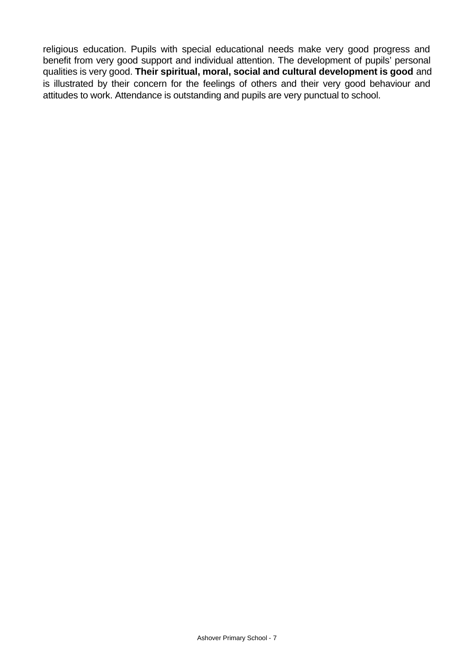religious education. Pupils with special educational needs make very good progress and benefit from very good support and individual attention. The development of pupils' personal qualities is very good. **Their spiritual, moral, social and cultural development is good** and is illustrated by their concern for the feelings of others and their very good behaviour and attitudes to work. Attendance is outstanding and pupils are very punctual to school.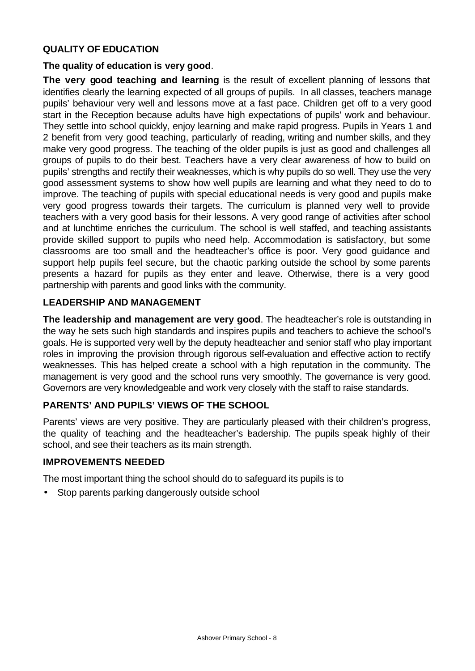### **QUALITY OF EDUCATION**

#### **The quality of education is very good**.

**The very good teaching and learning** is the result of excellent planning of lessons that identifies clearly the learning expected of all groups of pupils. In all classes, teachers manage pupils' behaviour very well and lessons move at a fast pace. Children get off to a very good start in the Reception because adults have high expectations of pupils' work and behaviour. They settle into school quickly, enjoy learning and make rapid progress. Pupils in Years 1 and 2 benefit from very good teaching, particularly of reading, writing and number skills, and they make very good progress. The teaching of the older pupils is just as good and challenges all groups of pupils to do their best. Teachers have a very clear awareness of how to build on pupils' strengths and rectify their weaknesses, which is why pupils do so well. They use the very good assessment systems to show how well pupils are learning and what they need to do to improve. The teaching of pupils with special educational needs is very good and pupils make very good progress towards their targets. The curriculum is planned very well to provide teachers with a very good basis for their lessons. A very good range of activities after school and at lunchtime enriches the curriculum. The school is well staffed, and teaching assistants provide skilled support to pupils who need help. Accommodation is satisfactory, but some classrooms are too small and the headteacher's office is poor. Very good guidance and support help pupils feel secure, but the chaotic parking outside the school by some parents presents a hazard for pupils as they enter and leave. Otherwise, there is a very good partnership with parents and good links with the community.

#### **LEADERSHIP AND MANAGEMENT**

**The leadership and management are very good**. The headteacher's role is outstanding in the way he sets such high standards and inspires pupils and teachers to achieve the school's goals. He is supported very well by the deputy headteacher and senior staff who play important roles in improving the provision through rigorous self-evaluation and effective action to rectify weaknesses. This has helped create a school with a high reputation in the community. The management is very good and the school runs very smoothly. The governance is very good. Governors are very knowledgeable and work very closely with the staff to raise standards.

### **PARENTS' AND PUPILS' VIEWS OF THE SCHOOL**

Parents' views are very positive. They are particularly pleased with their children's progress, the quality of teaching and the headteacher's eadership. The pupils speak highly of their school, and see their teachers as its main strength.

#### **IMPROVEMENTS NEEDED**

The most important thing the school should do to safeguard its pupils is to

• Stop parents parking dangerously outside school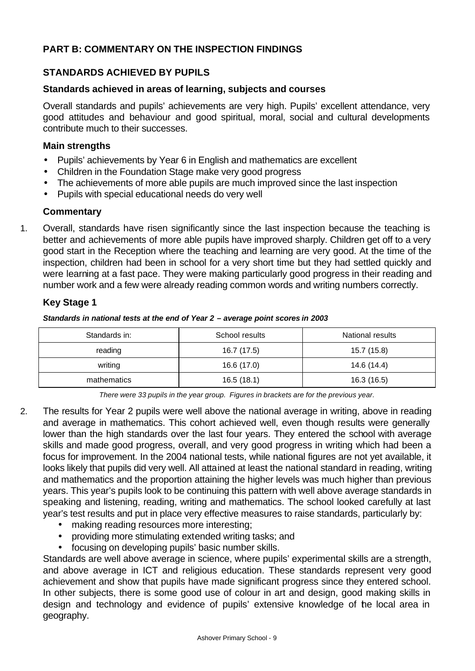### **PART B: COMMENTARY ON THE INSPECTION FINDINGS**

### **STANDARDS ACHIEVED BY PUPILS**

#### **Standards achieved in areas of learning, subjects and courses**

Overall standards and pupils' achievements are very high. Pupils' excellent attendance, very good attitudes and behaviour and good spiritual, moral, social and cultural developments contribute much to their successes.

#### **Main strengths**

- Pupils' achievements by Year 6 in English and mathematics are excellent
- Children in the Foundation Stage make very good progress
- The achievements of more able pupils are much improved since the last inspection
- Pupils with special educational needs do very well

#### **Commentary**

1. Overall, standards have risen significantly since the last inspection because the teaching is better and achievements of more able pupils have improved sharply. Children get off to a very good start in the Reception where the teaching and learning are very good. At the time of the inspection, children had been in school for a very short time but they had settled quickly and were learning at a fast pace. They were making particularly good progress in their reading and number work and a few were already reading common words and writing numbers correctly.

### **Key Stage 1**

*Standards in national tests at the end of Year 2 – average point scores in 2003*

| Standards in: | School results | National results |
|---------------|----------------|------------------|
| reading       | 16.7 (17.5)    | 15.7 (15.8)      |
| writing       | 16.6 (17.0)    | 14.6 (14.4)      |
| mathematics   | 16.5(18.1)     | 16.3 (16.5)      |

*There were 33 pupils in the year group. Figures in brackets are for the previous year.*

- 2. The results for Year 2 pupils were well above the national average in writing, above in reading and average in mathematics. This cohort achieved well, even though results were generally lower than the high standards over the last four years. They entered the school with average skills and made good progress, overall, and very good progress in writing which had been a focus for improvement. In the 2004 national tests, while national figures are not yet available, it looks likely that pupils did very well. All attained at least the national standard in reading, writing and mathematics and the proportion attaining the higher levels was much higher than previous years. This year's pupils look to be continuing this pattern with well above average standards in speaking and listening, reading, writing and mathematics. The school looked carefully at last year's test results and put in place very effective measures to raise standards, particularly by:
	- making reading resources more interesting;
	- providing more stimulating extended writing tasks; and
	- focusing on developing pupils' basic number skills.

Standards are well above average in science, where pupils' experimental skills are a strength, and above average in ICT and religious education. These standards represent very good achievement and show that pupils have made significant progress since they entered school. In other subjects, there is some good use of colour in art and design, good making skills in design and technology and evidence of pupils' extensive knowledge of the local area in geography.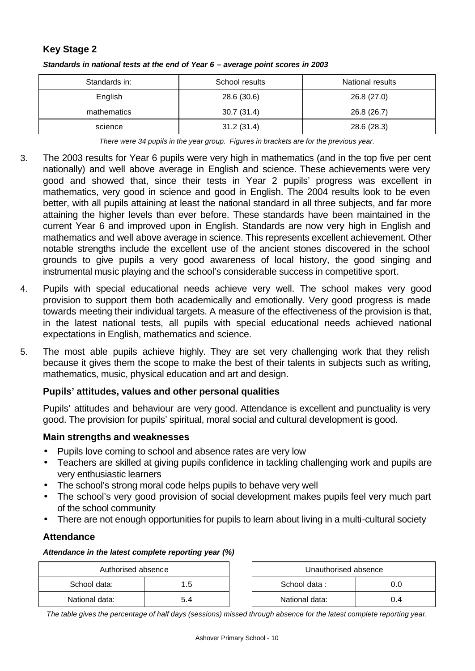#### **Key Stage 2**

| Standards in: | School results | National results |
|---------------|----------------|------------------|
| English       | 28.6 (30.6)    | 26.8 (27.0)      |
| mathematics   | 30.7(31.4)     | 26.8 (26.7)      |
| science       | 31.2(31.4)     | 28.6 (28.3)      |

#### *Standards in national tests at the end of Year 6 – average point scores in 2003*

*There were 34 pupils in the year group. Figures in brackets are for the previous year.*

- 3. The 2003 results for Year 6 pupils were very high in mathematics (and in the top five per cent nationally) and well above average in English and science. These achievements were very good and showed that, since their tests in Year 2 pupils' progress was excellent in mathematics, very good in science and good in English. The 2004 results look to be even better, with all pupils attaining at least the national standard in all three subjects, and far more attaining the higher levels than ever before. These standards have been maintained in the current Year 6 and improved upon in English. Standards are now very high in English and mathematics and well above average in science. This represents excellent achievement. Other notable strengths include the excellent use of the ancient stones discovered in the school grounds to give pupils a very good awareness of local history, the good singing and instrumental music playing and the school's considerable success in competitive sport.
- 4. Pupils with special educational needs achieve very well. The school makes very good provision to support them both academically and emotionally. Very good progress is made towards meeting their individual targets. A measure of the effectiveness of the provision is that, in the latest national tests, all pupils with special educational needs achieved national expectations in English, mathematics and science.
- 5. The most able pupils achieve highly. They are set very challenging work that they relish because it gives them the scope to make the best of their talents in subjects such as writing, mathematics, music, physical education and art and design.

#### **Pupils' attitudes, values and other personal qualities**

Pupils' attitudes and behaviour are very good. Attendance is excellent and punctuality is very good. The provision for pupils' spiritual, moral social and cultural development is good.

#### **Main strengths and weaknesses**

- Pupils love coming to school and absence rates are very low
- Teachers are skilled at giving pupils confidence in tackling challenging work and pupils are very enthusiastic learners
- The school's strong moral code helps pupils to behave very well
- The school's very good provision of social development makes pupils feel very much part of the school community
- There are not enough opportunities for pupils to learn about living in a multi-cultural society

#### **Attendance**

#### *Attendance in the latest complete reporting year (%)*

|                | Unauthorised absence<br>Authorised absence |  |                     |     |  |  |
|----------------|--------------------------------------------|--|---------------------|-----|--|--|
| School data:   | ا .b                                       |  | School data:<br>0.0 |     |  |  |
| National data: |                                            |  | National data:      | 0.4 |  |  |

*The table gives the percentage of half days (sessions) missed through absence for the latest complete reporting year.*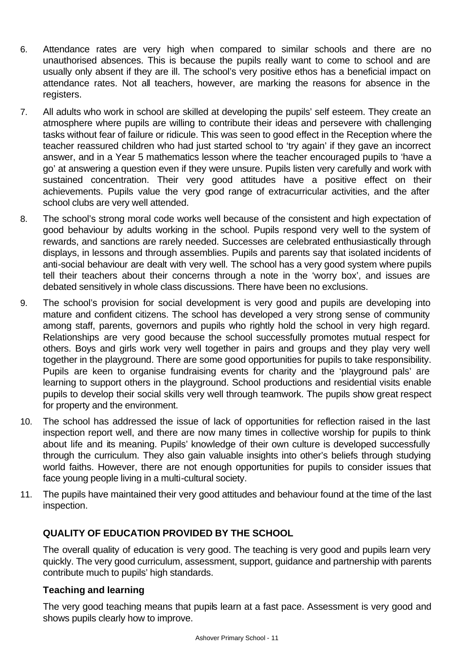- 6. Attendance rates are very high when compared to similar schools and there are no unauthorised absences. This is because the pupils really want to come to school and are usually only absent if they are ill. The school's very positive ethos has a beneficial impact on attendance rates. Not all teachers, however, are marking the reasons for absence in the registers.
- 7. All adults who work in school are skilled at developing the pupils' self esteem. They create an atmosphere where pupils are willing to contribute their ideas and persevere with challenging tasks without fear of failure or ridicule. This was seen to good effect in the Reception where the teacher reassured children who had just started school to 'try again' if they gave an incorrect answer, and in a Year 5 mathematics lesson where the teacher encouraged pupils to 'have a go' at answering a question even if they were unsure. Pupils listen very carefully and work with sustained concentration. Their very good attitudes have a positive effect on their achievements. Pupils value the very good range of extracurricular activities, and the after school clubs are very well attended.
- 8. The school's strong moral code works well because of the consistent and high expectation of good behaviour by adults working in the school. Pupils respond very well to the system of rewards, and sanctions are rarely needed. Successes are celebrated enthusiastically through displays, in lessons and through assemblies. Pupils and parents say that isolated incidents of anti-social behaviour are dealt with very well. The school has a very good system where pupils tell their teachers about their concerns through a note in the 'worry box', and issues are debated sensitively in whole class discussions. There have been no exclusions.
- 9. The school's provision for social development is very good and pupils are developing into mature and confident citizens. The school has developed a very strong sense of community among staff, parents, governors and pupils who rightly hold the school in very high regard. Relationships are very good because the school successfully promotes mutual respect for others. Boys and girls work very well together in pairs and groups and they play very well together in the playground. There are some good opportunities for pupils to take responsibility. Pupils are keen to organise fundraising events for charity and the 'playground pals' are learning to support others in the playground. School productions and residential visits enable pupils to develop their social skills very well through teamwork. The pupils show great respect for property and the environment.
- 10. The school has addressed the issue of lack of opportunities for reflection raised in the last inspection report well, and there are now many times in collective worship for pupils to think about life and its meaning. Pupils' knowledge of their own culture is developed successfully through the curriculum. They also gain valuable insights into other's beliefs through studying world faiths. However, there are not enough opportunities for pupils to consider issues that face young people living in a multi-cultural society.
- 11. The pupils have maintained their very good attitudes and behaviour found at the time of the last inspection.

### **QUALITY OF EDUCATION PROVIDED BY THE SCHOOL**

The overall quality of education is very good. The teaching is very good and pupils learn very quickly. The very good curriculum, assessment, support, guidance and partnership with parents contribute much to pupils' high standards.

#### **Teaching and learning**

The very good teaching means that pupils learn at a fast pace. Assessment is very good and shows pupils clearly how to improve.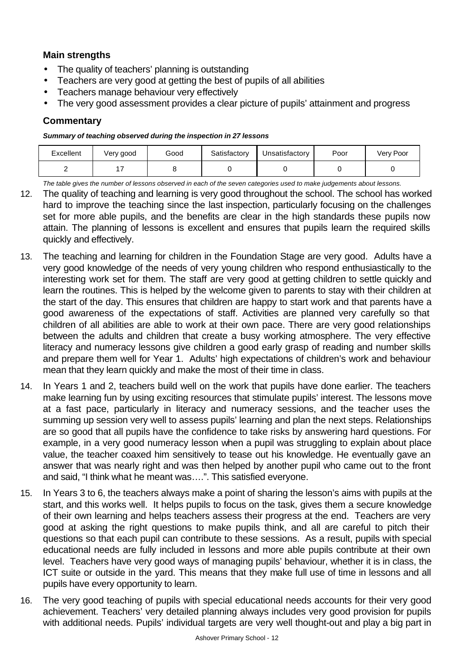### **Main strengths**

- The quality of teachers' planning is outstanding
- Teachers are very good at getting the best of pupils of all abilities
- Teachers manage behaviour very effectively
- The very good assessment provides a clear picture of pupils' attainment and progress

### **Commentary**

*Summary of teaching observed during the inspection in 27 lessons*

| Excellent | Very good | Good | Satisfactory | Unsatisfactory | Poor | Very Poor |
|-----------|-----------|------|--------------|----------------|------|-----------|
|           |           |      |              |                |      |           |

*The table gives the number of lessons observed in each of the seven categories used to make judgements about lessons.*

- 12. The quality of teaching and learning is very good throughout the school. The school has worked hard to improve the teaching since the last inspection, particularly focusing on the challenges set for more able pupils, and the benefits are clear in the high standards these pupils now attain. The planning of lessons is excellent and ensures that pupils learn the required skills quickly and effectively.
- 13. The teaching and learning for children in the Foundation Stage are very good. Adults have a very good knowledge of the needs of very young children who respond enthusiastically to the interesting work set for them. The staff are very good at getting children to settle quickly and learn the routines. This is helped by the welcome given to parents to stay with their children at the start of the day. This ensures that children are happy to start work and that parents have a good awareness of the expectations of staff. Activities are planned very carefully so that children of all abilities are able to work at their own pace. There are very good relationships between the adults and children that create a busy working atmosphere. The very effective literacy and numeracy lessons give children a good early grasp of reading and number skills and prepare them well for Year 1. Adults' high expectations of children's work and behaviour mean that they learn quickly and make the most of their time in class.
- 14. In Years 1 and 2, teachers build well on the work that pupils have done earlier. The teachers make learning fun by using exciting resources that stimulate pupils' interest. The lessons move at a fast pace, particularly in literacy and numeracy sessions, and the teacher uses the summing up session very well to assess pupils' learning and plan the next steps. Relationships are so good that all pupils have the confidence to take risks by answering hard questions. For example, in a very good numeracy lesson when a pupil was struggling to explain about place value, the teacher coaxed him sensitively to tease out his knowledge. He eventually gave an answer that was nearly right and was then helped by another pupil who came out to the front and said, "I think what he meant was….". This satisfied everyone.
- 15. In Years 3 to 6, the teachers always make a point of sharing the lesson's aims with pupils at the start, and this works well. It helps pupils to focus on the task, gives them a secure knowledge of their own learning and helps teachers assess their progress at the end. Teachers are very good at asking the right questions to make pupils think, and all are careful to pitch their questions so that each pupil can contribute to these sessions. As a result, pupils with special educational needs are fully included in lessons and more able pupils contribute at their own level. Teachers have very good ways of managing pupils' behaviour, whether it is in class, the ICT suite or outside in the yard. This means that they make full use of time in lessons and all pupils have every opportunity to learn.
- 16. The very good teaching of pupils with special educational needs accounts for their very good achievement. Teachers' very detailed planning always includes very good provision for pupils with additional needs. Pupils' individual targets are very well thought-out and play a big part in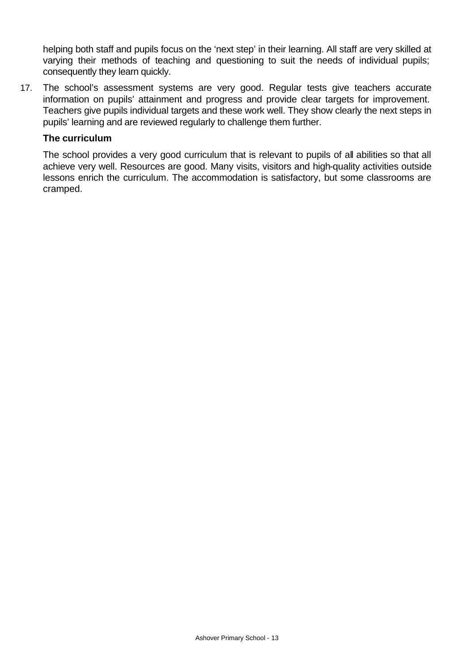helping both staff and pupils focus on the 'next step' in their learning. All staff are very skilled at varying their methods of teaching and questioning to suit the needs of individual pupils; consequently they learn quickly.

17. The school's assessment systems are very good. Regular tests give teachers accurate information on pupils' attainment and progress and provide clear targets for improvement. Teachers give pupils individual targets and these work well. They show clearly the next steps in pupils' learning and are reviewed regularly to challenge them further.

#### **The curriculum**

The school provides a very good curriculum that is relevant to pupils of all abilities so that all achieve very well. Resources are good. Many visits, visitors and high-quality activities outside lessons enrich the curriculum. The accommodation is satisfactory, but some classrooms are cramped.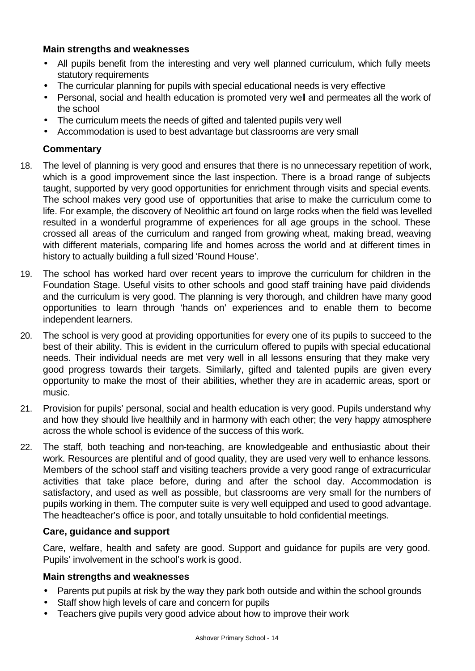#### **Main strengths and weaknesses**

- All pupils benefit from the interesting and very well planned curriculum, which fully meets statutory requirements
- The curricular planning for pupils with special educational needs is very effective
- Personal, social and health education is promoted very well and permeates all the work of the school
- The curriculum meets the needs of gifted and talented pupils very well
- Accommodation is used to best advantage but classrooms are very small

### **Commentary**

- 18. The level of planning is very good and ensures that there is no unnecessary repetition of work, which is a good improvement since the last inspection. There is a broad range of subjects taught, supported by very good opportunities for enrichment through visits and special events. The school makes very good use of opportunities that arise to make the curriculum come to life. For example, the discovery of Neolithic art found on large rocks when the field was levelled resulted in a wonderful programme of experiences for all age groups in the school. These crossed all areas of the curriculum and ranged from growing wheat, making bread, weaving with different materials, comparing life and homes across the world and at different times in history to actually building a full sized 'Round House'.
- 19. The school has worked hard over recent years to improve the curriculum for children in the Foundation Stage. Useful visits to other schools and good staff training have paid dividends and the curriculum is very good. The planning is very thorough, and children have many good opportunities to learn through 'hands on' experiences and to enable them to become independent learners.
- 20. The school is very good at providing opportunities for every one of its pupils to succeed to the best of their ability. This is evident in the curriculum offered to pupils with special educational needs. Their individual needs are met very well in all lessons ensuring that they make very good progress towards their targets. Similarly, gifted and talented pupils are given every opportunity to make the most of their abilities, whether they are in academic areas, sport or music.
- 21. Provision for pupils' personal, social and health education is very good. Pupils understand why and how they should live healthily and in harmony with each other; the very happy atmosphere across the whole school is evidence of the success of this work.
- 22. The staff, both teaching and non-teaching, are knowledgeable and enthusiastic about their work. Resources are plentiful and of good quality, they are used very well to enhance lessons. Members of the school staff and visiting teachers provide a very good range of extracurricular activities that take place before, during and after the school day. Accommodation is satisfactory, and used as well as possible, but classrooms are very small for the numbers of pupils working in them. The computer suite is very well equipped and used to good advantage. The headteacher's office is poor, and totally unsuitable to hold confidential meetings.

#### **Care, guidance and support**

Care, welfare, health and safety are good. Support and guidance for pupils are very good. Pupils' involvement in the school's work is good.

### **Main strengths and weaknesses**

- Parents put pupils at risk by the way they park both outside and within the school grounds
- Staff show high levels of care and concern for pupils
- Teachers give pupils very good advice about how to improve their work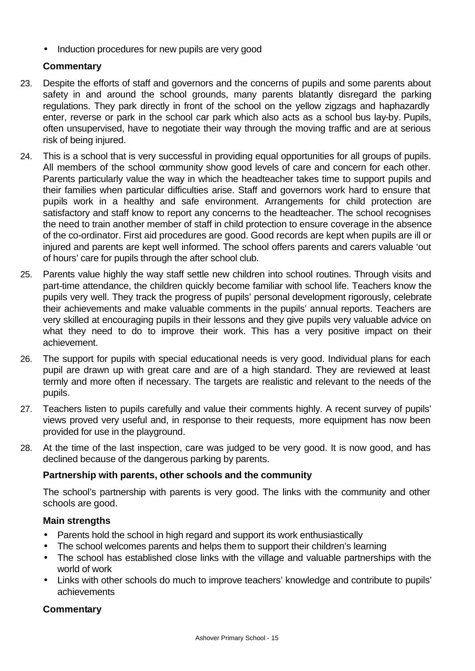• Induction procedures for new pupils are very good

### **Commentary**

- 23. Despite the efforts of staff and governors and the concerns of pupils and some parents about safety in and around the school grounds, many parents blatantly disregard the parking regulations. They park directly in front of the school on the yellow zigzags and haphazardly enter, reverse or park in the school car park which also acts as a school bus lay-by. Pupils, often unsupervised, have to negotiate their way through the moving traffic and are at serious risk of being injured.
- 24. This is a school that is very successful in providing equal opportunities for all groups of pupils. All members of the school community show good levels of care and concern for each other. Parents particularly value the way in which the headteacher takes time to support pupils and their families when particular difficulties arise. Staff and governors work hard to ensure that pupils work in a healthy and safe environment. Arrangements for child protection are satisfactory and staff know to report any concerns to the headteacher. The school recognises the need to train another member of staff in child protection to ensure coverage in the absence of the co-ordinator. First aid procedures are good. Good records are kept when pupils are ill or injured and parents are kept well informed. The school offers parents and carers valuable 'out of hours' care for pupils through the after school club.
- 25. Parents value highly the way staff settle new children into school routines. Through visits and part-time attendance, the children quickly become familiar with school life. Teachers know the pupils very well. They track the progress of pupils' personal development rigorously, celebrate their achievements and make valuable comments in the pupils' annual reports. Teachers are very skilled at encouraging pupils in their lessons and they give pupils very valuable advice on what they need to do to improve their work. This has a very positive impact on their achievement.
- 26. The support for pupils with special educational needs is very good. Individual plans for each pupil are drawn up with great care and are of a high standard. They are reviewed at least termly and more often if necessary. The targets are realistic and relevant to the needs of the pupils.
- 27. Teachers listen to pupils carefully and value their comments highly. A recent survey of pupils' views proved very useful and, in response to their requests, more equipment has now been provided for use in the playground.
- 28. At the time of the last inspection, care was judged to be very good. It is now good, and has declined because of the dangerous parking by parents.

### **Partnership with parents, other schools and the community**

The school's partnership with parents is very good. The links with the community and other schools are good.

### **Main strengths**

- Parents hold the school in high regard and support its work enthusiastically
- The school welcomes parents and helps them to support their children's learning
- The school has established close links with the village and valuable partnerships with the world of work
- Links with other schools do much to improve teachers' knowledge and contribute to pupils' achievements

### **Commentary**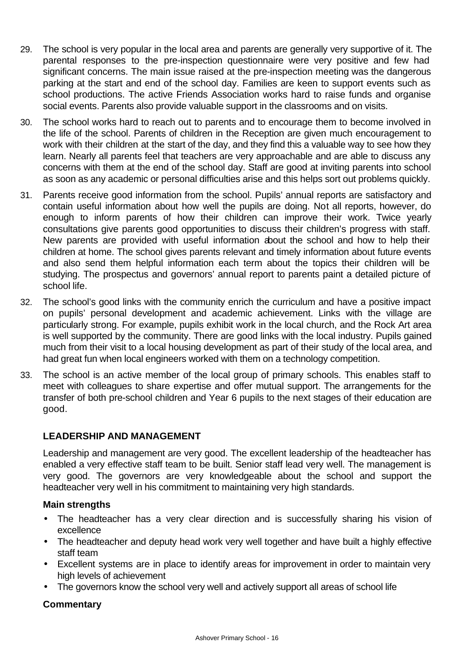- 29. The school is very popular in the local area and parents are generally very supportive of it. The parental responses to the pre-inspection questionnaire were very positive and few had significant concerns. The main issue raised at the pre-inspection meeting was the dangerous parking at the start and end of the school day. Families are keen to support events such as school productions. The active Friends Association works hard to raise funds and organise social events. Parents also provide valuable support in the classrooms and on visits.
- 30. The school works hard to reach out to parents and to encourage them to become involved in the life of the school. Parents of children in the Reception are given much encouragement to work with their children at the start of the day, and they find this a valuable way to see how they learn. Nearly all parents feel that teachers are very approachable and are able to discuss any concerns with them at the end of the school day. Staff are good at inviting parents into school as soon as any academic or personal difficulties arise and this helps sort out problems quickly.
- 31. Parents receive good information from the school. Pupils' annual reports are satisfactory and contain useful information about how well the pupils are doing. Not all reports, however, do enough to inform parents of how their children can improve their work. Twice yearly consultations give parents good opportunities to discuss their children's progress with staff. New parents are provided with useful information about the school and how to help their children at home. The school gives parents relevant and timely information about future events and also send them helpful information each term about the topics their children will be studying. The prospectus and governors' annual report to parents paint a detailed picture of school life.
- 32. The school's good links with the community enrich the curriculum and have a positive impact on pupils' personal development and academic achievement. Links with the village are particularly strong. For example, pupils exhibit work in the local church, and the Rock Art area is well supported by the community. There are good links with the local industry. Pupils gained much from their visit to a local housing development as part of their study of the local area, and had great fun when local engineers worked with them on a technology competition.
- 33. The school is an active member of the local group of primary schools. This enables staff to meet with colleagues to share expertise and offer mutual support. The arrangements for the transfer of both pre-school children and Year 6 pupils to the next stages of their education are good.

#### **LEADERSHIP AND MANAGEMENT**

Leadership and management are very good. The excellent leadership of the headteacher has enabled a very effective staff team to be built. Senior staff lead very well. The management is very good. The governors are very knowledgeable about the school and support the headteacher very well in his commitment to maintaining very high standards.

#### **Main strengths**

- The headteacher has a very clear direction and is successfully sharing his vision of excellence
- The headteacher and deputy head work very well together and have built a highly effective staff team
- Excellent systems are in place to identify areas for improvement in order to maintain very high levels of achievement
- The governors know the school very well and actively support all areas of school life

### **Commentary**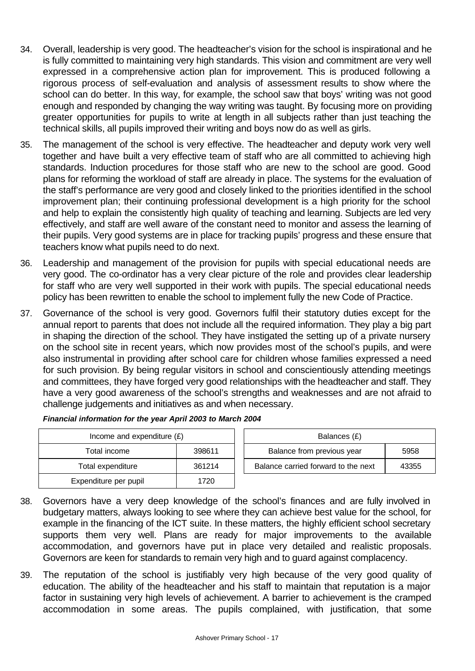- 34. Overall, leadership is very good. The headteacher's vision for the school is inspirational and he is fully committed to maintaining very high standards. This vision and commitment are very well expressed in a comprehensive action plan for improvement. This is produced following a rigorous process of self-evaluation and analysis of assessment results to show where the school can do better. In this way, for example, the school saw that boys' writing was not good enough and responded by changing the way writing was taught. By focusing more on providing greater opportunities for pupils to write at length in all subjects rather than just teaching the technical skills, all pupils improved their writing and boys now do as well as girls.
- 35. The management of the school is very effective. The headteacher and deputy work very well together and have built a very effective team of staff who are all committed to achieving high standards. Induction procedures for those staff who are new to the school are good. Good plans for reforming the workload of staff are already in place. The systems for the evaluation of the staff's performance are very good and closely linked to the priorities identified in the school improvement plan; their continuing professional development is a high priority for the school and help to explain the consistently high quality of teaching and learning. Subjects are led very effectively, and staff are well aware of the constant need to monitor and assess the learning of their pupils. Very good systems are in place for tracking pupils' progress and these ensure that teachers know what pupils need to do next.
- 36. Leadership and management of the provision for pupils with special educational needs are very good. The co-ordinator has a very clear picture of the role and provides clear leadership for staff who are very well supported in their work with pupils. The special educational needs policy has been rewritten to enable the school to implement fully the new Code of Practice.
- 37. Governance of the school is very good. Governors fulfil their statutory duties except for the annual report to parents that does not include all the required information. They play a big part in shaping the direction of the school. They have instigated the setting up of a private nursery on the school site in recent years, which now provides most of the school's pupils, and were also instrumental in providing after school care for children whose families expressed a need for such provision. By being regular visitors in school and conscientiously attending meetings and committees, they have forged very good relationships with the headteacher and staff. They have a very good awareness of the school's strengths and weaknesses and are not afraid to challenge judgements and initiatives as and when necessary.

|                       | Income and expenditure $(E)$ |  |                                |
|-----------------------|------------------------------|--|--------------------------------|
| Total income          | 398611                       |  | Balance from previous year     |
| Total expenditure     | 361214                       |  | Balance carried forward to the |
| Expenditure per pupil | 1720                         |  |                                |

| Financial information for the year April 2003 to March 2004 |  |
|-------------------------------------------------------------|--|
|-------------------------------------------------------------|--|

| Income and expenditure $(E)$ |        | Balances (£)                        |       |
|------------------------------|--------|-------------------------------------|-------|
| Total income                 | 398611 | Balance from previous year          | 5958  |
| Total expenditure            | 361214 | Balance carried forward to the next | 43355 |

- 38. Governors have a very deep knowledge of the school's finances and are fully involved in budgetary matters, always looking to see where they can achieve best value for the school, for example in the financing of the ICT suite. In these matters, the highly efficient school secretary supports them very well. Plans are ready for major improvements to the available accommodation, and governors have put in place very detailed and realistic proposals. Governors are keen for standards to remain very high and to guard against complacency.
- 39. The reputation of the school is justifiably very high because of the very good quality of education. The ability of the headteacher and his staff to maintain that reputation is a major factor in sustaining very high levels of achievement. A barrier to achievement is the cramped accommodation in some areas. The pupils complained, with justification, that some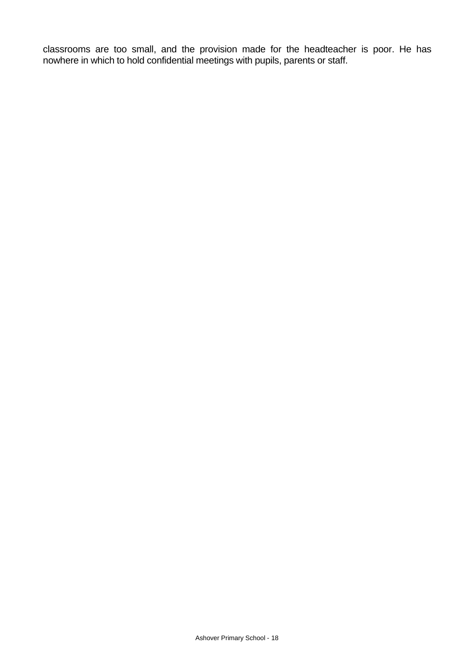classrooms are too small, and the provision made for the headteacher is poor. He has nowhere in which to hold confidential meetings with pupils, parents or staff.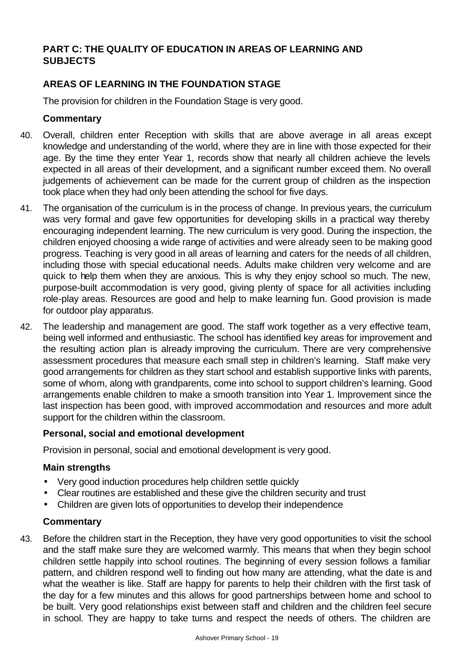### **PART C: THE QUALITY OF EDUCATION IN AREAS OF LEARNING AND SUBJECTS**

### **AREAS OF LEARNING IN THE FOUNDATION STAGE**

The provision for children in the Foundation Stage is very good.

### **Commentary**

- 40. Overall, children enter Reception with skills that are above average in all areas except knowledge and understanding of the world, where they are in line with those expected for their age. By the time they enter Year 1, records show that nearly all children achieve the levels expected in all areas of their development, and a significant number exceed them. No overall judgements of achievement can be made for the current group of children as the inspection took place when they had only been attending the school for five days.
- 41. The organisation of the curriculum is in the process of change. In previous years, the curriculum was very formal and gave few opportunities for developing skills in a practical way thereby encouraging independent learning. The new curriculum is very good. During the inspection, the children enjoyed choosing a wide range of activities and were already seen to be making good progress. Teaching is very good in all areas of learning and caters for the needs of all children, including those with special educational needs. Adults make children very welcome and are quick to help them when they are anxious. This is why they enjoy school so much. The new, purpose-built accommodation is very good, giving plenty of space for all activities including role-play areas. Resources are good and help to make learning fun. Good provision is made for outdoor play apparatus.
- 42. The leadership and management are good. The staff work together as a very effective team, being well informed and enthusiastic. The school has identified key areas for improvement and the resulting action plan is already improving the curriculum. There are very comprehensive assessment procedures that measure each small step in children's learning. Staff make very good arrangements for children as they start school and establish supportive links with parents, some of whom, along with grandparents, come into school to support children's learning. Good arrangements enable children to make a smooth transition into Year 1. Improvement since the last inspection has been good, with improved accommodation and resources and more adult support for the children within the classroom.

#### **Personal, social and emotional development**

Provision in personal, social and emotional development is very good.

#### **Main strengths**

- Very good induction procedures help children settle quickly
- Clear routines are established and these give the children security and trust
- Children are given lots of opportunities to develop their independence

#### **Commentary**

43. Before the children start in the Reception, they have very good opportunities to visit the school and the staff make sure they are welcomed warmly. This means that when they begin school children settle happily into school routines. The beginning of every session follows a familiar pattern, and children respond well to finding out how many are attending, what the date is and what the weather is like. Staff are happy for parents to help their children with the first task of the day for a few minutes and this allows for good partnerships between home and school to be built. Very good relationships exist between staff and children and the children feel secure in school. They are happy to take turns and respect the needs of others. The children are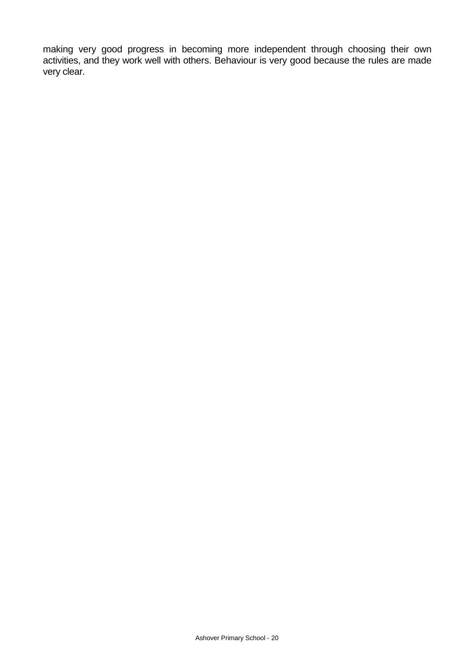making very good progress in becoming more independent through choosing their own activities, and they work well with others. Behaviour is very good because the rules are made very clear.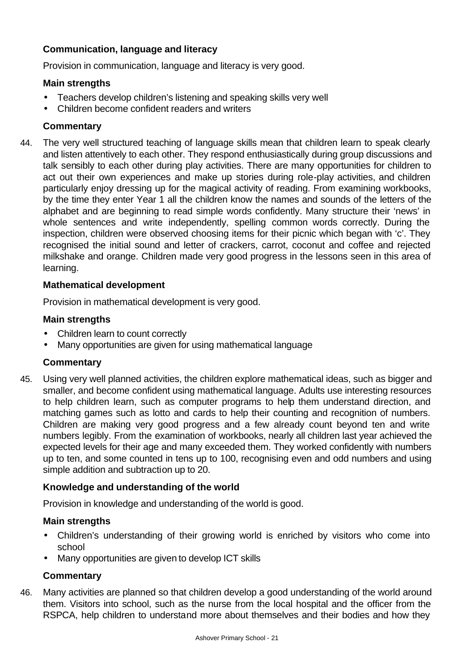### **Communication, language and literacy**

Provision in communication, language and literacy is very good.

### **Main strengths**

- Teachers develop children's listening and speaking skills very well
- Children become confident readers and writers

### **Commentary**

44. The very well structured teaching of language skills mean that children learn to speak clearly and listen attentively to each other. They respond enthusiastically during group discussions and talk sensibly to each other during play activities. There are many opportunities for children to act out their own experiences and make up stories during role-play activities, and children particularly enjoy dressing up for the magical activity of reading. From examining workbooks, by the time they enter Year 1 all the children know the names and sounds of the letters of the alphabet and are beginning to read simple words confidently. Many structure their 'news' in whole sentences and write independently, spelling common words correctly. During the inspection, children were observed choosing items for their picnic which began with 'c'. They recognised the initial sound and letter of crackers, carrot, coconut and coffee and rejected milkshake and orange. Children made very good progress in the lessons seen in this area of learning.

### **Mathematical development**

Provision in mathematical development is very good.

### **Main strengths**

- Children learn to count correctly
- Many opportunities are given for using mathematical language

### **Commentary**

45. Using very well planned activities, the children explore mathematical ideas, such as bigger and smaller, and become confident using mathematical language. Adults use interesting resources to help children learn, such as computer programs to help them understand direction, and matching games such as lotto and cards to help their counting and recognition of numbers. Children are making very good progress and a few already count beyond ten and write numbers legibly. From the examination of workbooks, nearly all children last year achieved the expected levels for their age and many exceeded them. They worked confidently with numbers up to ten, and some counted in tens up to 100, recognising even and odd numbers and using simple addition and subtraction up to 20.

### **Knowledge and understanding of the world**

Provision in knowledge and understanding of the world is good.

#### **Main strengths**

- Children's understanding of their growing world is enriched by visitors who come into school
- Many opportunities are given to develop ICT skills

### **Commentary**

46. Many activities are planned so that children develop a good understanding of the world around them. Visitors into school, such as the nurse from the local hospital and the officer from the RSPCA, help children to understand more about themselves and their bodies and how they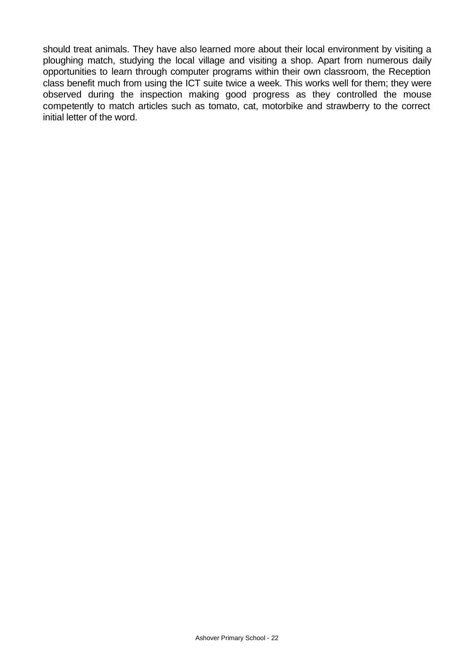should treat animals. They have also learned more about their local environment by visiting a ploughing match, studying the local village and visiting a shop. Apart from numerous daily opportunities to learn through computer programs within their own classroom, the Reception class benefit much from using the ICT suite twice a week. This works well for them; they were observed during the inspection making good progress as they controlled the mouse competently to match articles such as tomato, cat, motorbike and strawberry to the correct initial letter of the word.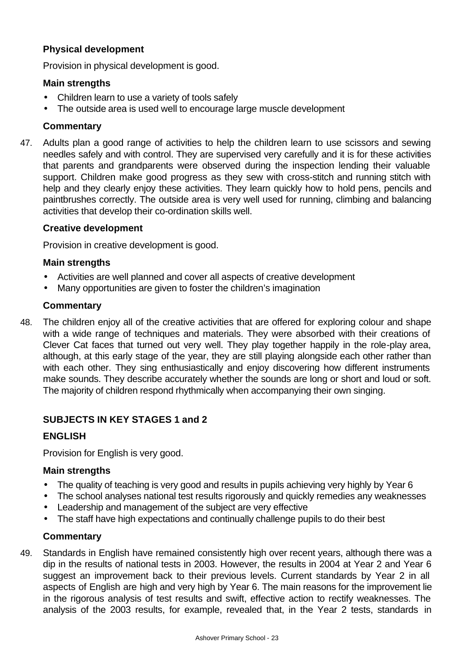### **Physical development**

Provision in physical development is good.

#### **Main strengths**

- Children learn to use a variety of tools safely
- The outside area is used well to encourage large muscle development

#### **Commentary**

47. Adults plan a good range of activities to help the children learn to use scissors and sewing needles safely and with control. They are supervised very carefully and it is for these activities that parents and grandparents were observed during the inspection lending their valuable support. Children make good progress as they sew with cross-stitch and running stitch with help and they clearly enjoy these activities. They learn quickly how to hold pens, pencils and paintbrushes correctly. The outside area is very well used for running, climbing and balancing activities that develop their co-ordination skills well.

#### **Creative development**

Provision in creative development is good.

#### **Main strengths**

- Activities are well planned and cover all aspects of creative development
- Many opportunities are given to foster the children's imagination

#### **Commentary**

48. The children enjoy all of the creative activities that are offered for exploring colour and shape with a wide range of techniques and materials. They were absorbed with their creations of Clever Cat faces that turned out very well. They play together happily in the role-play area, although, at this early stage of the year, they are still playing alongside each other rather than with each other. They sing enthusiastically and enjoy discovering how different instruments make sounds. They describe accurately whether the sounds are long or short and loud or soft. The majority of children respond rhythmically when accompanying their own singing.

#### **SUBJECTS IN KEY STAGES 1 and 2**

#### **ENGLISH**

Provision for English is very good.

#### **Main strengths**

- The quality of teaching is very good and results in pupils achieving very highly by Year 6
- The school analyses national test results rigorously and quickly remedies any weaknesses
- Leadership and management of the subject are very effective
- The staff have high expectations and continually challenge pupils to do their best

#### **Commentary**

49. Standards in English have remained consistently high over recent years, although there was a dip in the results of national tests in 2003. However, the results in 2004 at Year 2 and Year 6 suggest an improvement back to their previous levels. Current standards by Year 2 in all aspects of English are high and very high by Year 6. The main reasons for the improvement lie in the rigorous analysis of test results and swift, effective action to rectify weaknesses. The analysis of the 2003 results, for example, revealed that, in the Year 2 tests, standards in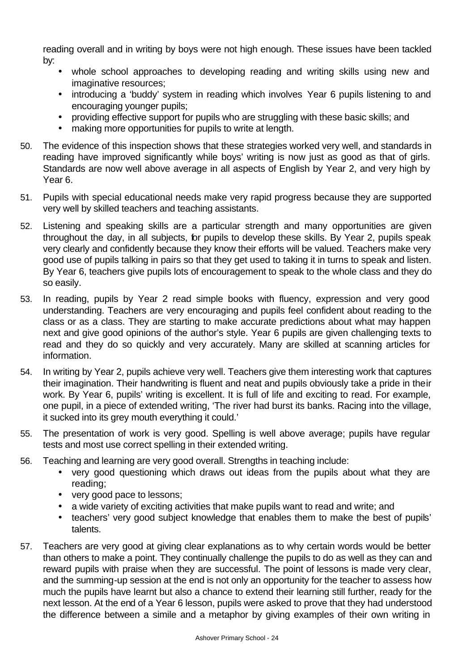reading overall and in writing by boys were not high enough. These issues have been tackled by:

- whole school approaches to developing reading and writing skills using new and imaginative resources;
- introducing a 'buddy' system in reading which involves Year 6 pupils listening to and encouraging younger pupils;
- providing effective support for pupils who are struggling with these basic skills; and
- making more opportunities for pupils to write at length.
- 50. The evidence of this inspection shows that these strategies worked very well, and standards in reading have improved significantly while boys' writing is now just as good as that of girls. Standards are now well above average in all aspects of English by Year 2, and very high by Year 6.
- 51. Pupils with special educational needs make very rapid progress because they are supported very well by skilled teachers and teaching assistants.
- 52. Listening and speaking skills are a particular strength and many opportunities are given throughout the day, in all subjects, for pupils to develop these skills. By Year 2, pupils speak very clearly and confidently because they know their efforts will be valued. Teachers make very good use of pupils talking in pairs so that they get used to taking it in turns to speak and listen. By Year 6, teachers give pupils lots of encouragement to speak to the whole class and they do so easily.
- 53. In reading, pupils by Year 2 read simple books with fluency, expression and very good understanding. Teachers are very encouraging and pupils feel confident about reading to the class or as a class. They are starting to make accurate predictions about what may happen next and give good opinions of the author's style. Year 6 pupils are given challenging texts to read and they do so quickly and very accurately. Many are skilled at scanning articles for information.
- 54. In writing by Year 2, pupils achieve very well. Teachers give them interesting work that captures their imagination. Their handwriting is fluent and neat and pupils obviously take a pride in their work. By Year 6, pupils' writing is excellent. It is full of life and exciting to read. For example, one pupil, in a piece of extended writing, 'The river had burst its banks. Racing into the village, it sucked into its grey mouth everything it could.'
- 55. The presentation of work is very good. Spelling is well above average; pupils have regular tests and most use correct spelling in their extended writing.
- 56. Teaching and learning are very good overall. Strengths in teaching include:
	- very good questioning which draws out ideas from the pupils about what they are reading;
	- very good pace to lessons;
	- a wide variety of exciting activities that make pupils want to read and write; and
	- teachers' very good subject knowledge that enables them to make the best of pupils' talents.
- 57. Teachers are very good at giving clear explanations as to why certain words would be better than others to make a point. They continually challenge the pupils to do as well as they can and reward pupils with praise when they are successful. The point of lessons is made very clear, and the summing-up session at the end is not only an opportunity for the teacher to assess how much the pupils have learnt but also a chance to extend their learning still further, ready for the next lesson. At the end of a Year 6 lesson, pupils were asked to prove that they had understood the difference between a simile and a metaphor by giving examples of their own writing in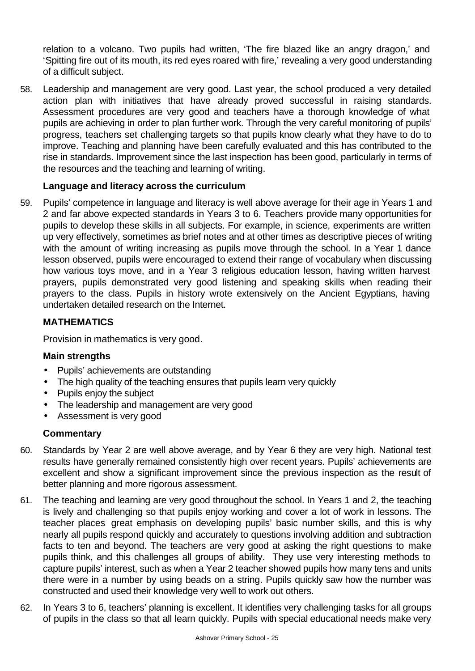relation to a volcano. Two pupils had written, 'The fire blazed like an angry dragon,' and 'Spitting fire out of its mouth, its red eyes roared with fire,' revealing a very good understanding of a difficult subject.

58. Leadership and management are very good. Last year, the school produced a very detailed action plan with initiatives that have already proved successful in raising standards. Assessment procedures are very good and teachers have a thorough knowledge of what pupils are achieving in order to plan further work. Through the very careful monitoring of pupils' progress, teachers set challenging targets so that pupils know clearly what they have to do to improve. Teaching and planning have been carefully evaluated and this has contributed to the rise in standards. Improvement since the last inspection has been good, particularly in terms of the resources and the teaching and learning of writing.

### **Language and literacy across the curriculum**

59. Pupils' competence in language and literacy is well above average for their age in Years 1 and 2 and far above expected standards in Years 3 to 6. Teachers provide many opportunities for pupils to develop these skills in all subjects. For example, in science, experiments are written up very effectively, sometimes as brief notes and at other times as descriptive pieces of writing with the amount of writing increasing as pupils move through the school. In a Year 1 dance lesson observed, pupils were encouraged to extend their range of vocabulary when discussing how various toys move, and in a Year 3 religious education lesson, having written harvest prayers, pupils demonstrated very good listening and speaking skills when reading their prayers to the class. Pupils in history wrote extensively on the Ancient Egyptians, having undertaken detailed research on the Internet.

### **MATHEMATICS**

Provision in mathematics is very good.

### **Main strengths**

- Pupils' achievements are outstanding
- The high quality of the teaching ensures that pupils learn very quickly
- Pupils enjoy the subject
- The leadership and management are very good
- Assessment is very good

### **Commentary**

- 60. Standards by Year 2 are well above average, and by Year 6 they are very high. National test results have generally remained consistently high over recent years. Pupils' achievements are excellent and show a significant improvement since the previous inspection as the result of better planning and more rigorous assessment.
- 61. The teaching and learning are very good throughout the school. In Years 1 and 2, the teaching is lively and challenging so that pupils enjoy working and cover a lot of work in lessons. The teacher places great emphasis on developing pupils' basic number skills, and this is why nearly all pupils respond quickly and accurately to questions involving addition and subtraction facts to ten and beyond. The teachers are very good at asking the right questions to make pupils think, and this challenges all groups of ability. They use very interesting methods to capture pupils' interest, such as when a Year 2 teacher showed pupils how many tens and units there were in a number by using beads on a string. Pupils quickly saw how the number was constructed and used their knowledge very well to work out others.
- 62. In Years 3 to 6, teachers' planning is excellent. It identifies very challenging tasks for all groups of pupils in the class so that all learn quickly. Pupils with special educational needs make very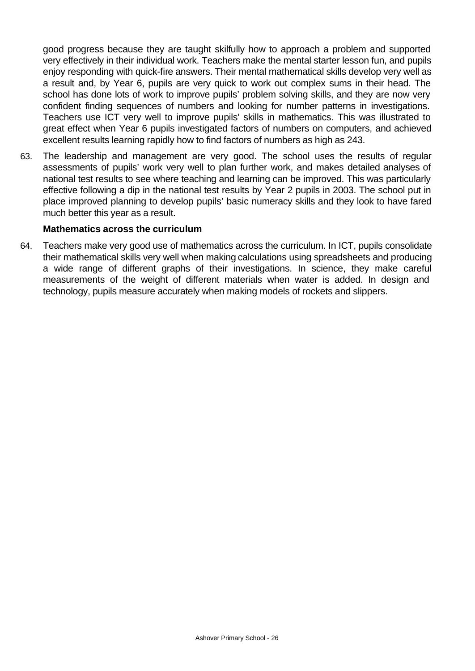good progress because they are taught skilfully how to approach a problem and supported very effectively in their individual work. Teachers make the mental starter lesson fun, and pupils enjoy responding with quick-fire answers. Their mental mathematical skills develop very well as a result and, by Year 6, pupils are very quick to work out complex sums in their head. The school has done lots of work to improve pupils' problem solving skills, and they are now very confident finding sequences of numbers and looking for number patterns in investigations. Teachers use ICT very well to improve pupils' skills in mathematics. This was illustrated to great effect when Year 6 pupils investigated factors of numbers on computers, and achieved excellent results learning rapidly how to find factors of numbers as high as 243.

63. The leadership and management are very good. The school uses the results of regular assessments of pupils' work very well to plan further work, and makes detailed analyses of national test results to see where teaching and learning can be improved. This was particularly effective following a dip in the national test results by Year 2 pupils in 2003. The school put in place improved planning to develop pupils' basic numeracy skills and they look to have fared much better this year as a result.

#### **Mathematics across the curriculum**

64. Teachers make very good use of mathematics across the curriculum. In ICT, pupils consolidate their mathematical skills very well when making calculations using spreadsheets and producing a wide range of different graphs of their investigations. In science, they make careful measurements of the weight of different materials when water is added. In design and technology, pupils measure accurately when making models of rockets and slippers.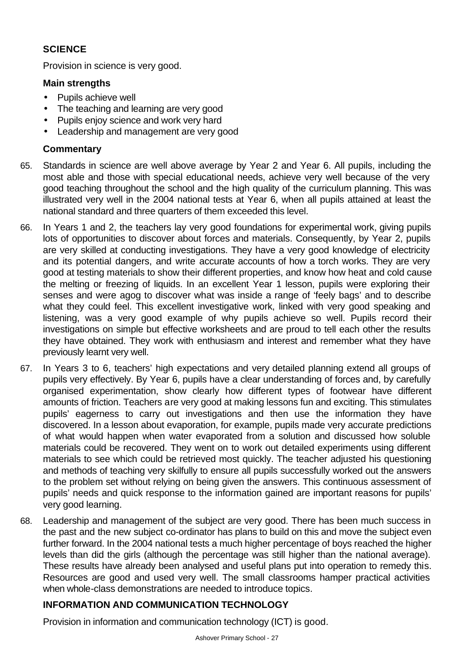### **SCIENCE**

Provision in science is very good.

### **Main strengths**

- Pupils achieve well
- The teaching and learning are very good
- Pupils enjoy science and work very hard
- Leadership and management are very good

## **Commentary**

- 65. Standards in science are well above average by Year 2 and Year 6. All pupils, including the most able and those with special educational needs, achieve very well because of the very good teaching throughout the school and the high quality of the curriculum planning. This was illustrated very well in the 2004 national tests at Year 6, when all pupils attained at least the national standard and three quarters of them exceeded this level.
- 66. In Years 1 and 2, the teachers lay very good foundations for experimental work, giving pupils lots of opportunities to discover about forces and materials. Consequently, by Year 2, pupils are very skilled at conducting investigations. They have a very good knowledge of electricity and its potential dangers, and write accurate accounts of how a torch works. They are very good at testing materials to show their different properties, and know how heat and cold cause the melting or freezing of liquids. In an excellent Year 1 lesson, pupils were exploring their senses and were agog to discover what was inside a range of 'feely bags' and to describe what they could feel. This excellent investigative work, linked with very good speaking and listening, was a very good example of why pupils achieve so well. Pupils record their investigations on simple but effective worksheets and are proud to tell each other the results they have obtained. They work with enthusiasm and interest and remember what they have previously learnt very well.
- 67. In Years 3 to 6, teachers' high expectations and very detailed planning extend all groups of pupils very effectively. By Year 6, pupils have a clear understanding of forces and, by carefully organised experimentation, show clearly how different types of footwear have different amounts of friction. Teachers are very good at making lessons fun and exciting. This stimulates pupils' eagerness to carry out investigations and then use the information they have discovered. In a lesson about evaporation, for example, pupils made very accurate predictions of what would happen when water evaporated from a solution and discussed how soluble materials could be recovered. They went on to work out detailed experiments using different materials to see which could be retrieved most quickly. The teacher adjusted his questioning and methods of teaching very skilfully to ensure all pupils successfully worked out the answers to the problem set without relying on being given the answers. This continuous assessment of pupils' needs and quick response to the information gained are important reasons for pupils' very good learning.
- 68. Leadership and management of the subject are very good. There has been much success in the past and the new subject co-ordinator has plans to build on this and move the subject even further forward. In the 2004 national tests a much higher percentage of boys reached the higher levels than did the girls (although the percentage was still higher than the national average). These results have already been analysed and useful plans put into operation to remedy this. Resources are good and used very well. The small classrooms hamper practical activities when whole-class demonstrations are needed to introduce topics.

### **INFORMATION AND COMMUNICATION TECHNOLOGY**

Provision in information and communication technology (ICT) is good.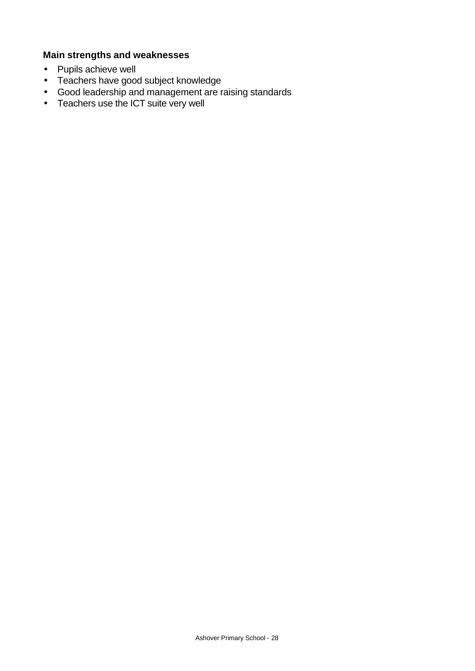### **Main strengths and weaknesses**

- Pupils achieve well
- Teachers have good subject knowledge
- Good leadership and management are raising standards
- Teachers use the ICT suite very well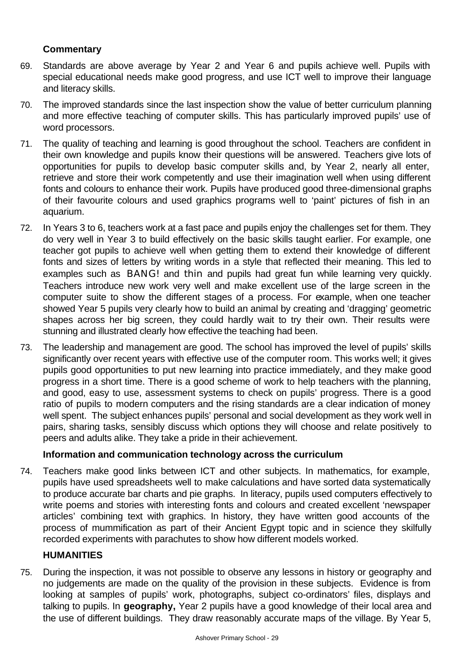### **Commentary**

- 69. Standards are above average by Year 2 and Year 6 and pupils achieve well. Pupils with special educational needs make good progress, and use ICT well to improve their language and literacy skills.
- 70. The improved standards since the last inspection show the value of better curriculum planning and more effective teaching of computer skills. This has particularly improved pupils' use of word processors.
- 71. The quality of teaching and learning is good throughout the school. Teachers are confident in their own knowledge and pupils know their questions will be answered. Teachers give lots of opportunities for pupils to develop basic computer skills and, by Year 2, nearly all enter, retrieve and store their work competently and use their imagination well when using different fonts and colours to enhance their work. Pupils have produced good three-dimensional graphs of their favourite colours and used graphics programs well to 'paint' pictures of fish in an aquarium.
- 72. In Years 3 to 6, teachers work at a fast pace and pupils enjoy the challenges set for them. They do very well in Year 3 to build effectively on the basic skills taught earlier. For example, one teacher got pupils to achieve well when getting them to extend their knowledge of different fonts and sizes of letters by writing words in a style that reflected their meaning. This led to examples such as BANG! and thin and pupils had great fun while learning very quickly. Teachers introduce new work very well and make excellent use of the large screen in the computer suite to show the different stages of a process. For example, when one teacher showed Year 5 pupils very clearly how to build an animal by creating and 'dragging' geometric shapes across her big screen, they could hardly wait to try their own. Their results were stunning and illustrated clearly how effective the teaching had been.
- 73. The leadership and management are good. The school has improved the level of pupils' skills significantly over recent years with effective use of the computer room. This works well; it gives pupils good opportunities to put new learning into practice immediately, and they make good progress in a short time. There is a good scheme of work to help teachers with the planning, and good, easy to use, assessment systems to check on pupils' progress. There is a good ratio of pupils to modern computers and the rising standards are a clear indication of money well spent. The subject enhances pupils' personal and social development as they work well in pairs, sharing tasks, sensibly discuss which options they will choose and relate positively to peers and adults alike. They take a pride in their achievement.

#### **Information and communication technology across the curriculum**

74. Teachers make good links between ICT and other subjects. In mathematics, for example, pupils have used spreadsheets well to make calculations and have sorted data systematically to produce accurate bar charts and pie graphs. In literacy, pupils used computers effectively to write poems and stories with interesting fonts and colours and created excellent 'newspaper articles' combining text with graphics. In history, they have written good accounts of the process of mummification as part of their Ancient Egypt topic and in science they skilfully recorded experiments with parachutes to show how different models worked.

### **HUMANITIES**

75. During the inspection, it was not possible to observe any lessons in history or geography and no judgements are made on the quality of the provision in these subjects. Evidence is from looking at samples of pupils' work, photographs, subject co-ordinators' files, displays and talking to pupils. In **geography,** Year 2 pupils have a good knowledge of their local area and the use of different buildings. They draw reasonably accurate maps of the village. By Year 5,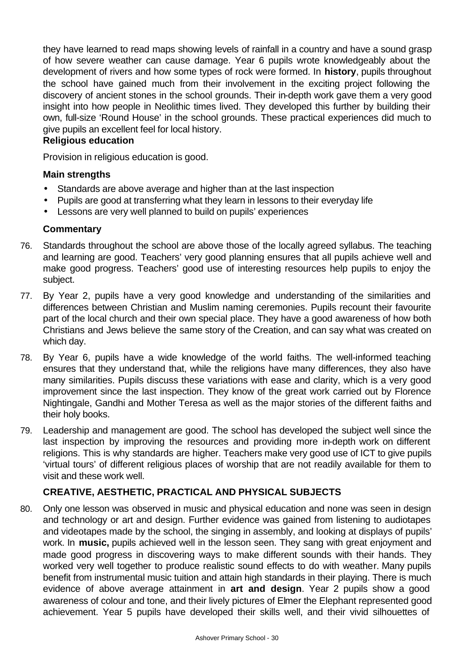they have learned to read maps showing levels of rainfall in a country and have a sound grasp of how severe weather can cause damage. Year 6 pupils wrote knowledgeably about the development of rivers and how some types of rock were formed. In **history**, pupils throughout the school have gained much from their involvement in the exciting project following the discovery of ancient stones in the school grounds. Their in-depth work gave them a very good insight into how people in Neolithic times lived. They developed this further by building their own, full-size 'Round House' in the school grounds. These practical experiences did much to give pupils an excellent feel for local history.

### **Religious education**

Provision in religious education is good.

#### **Main strengths**

- Standards are above average and higher than at the last inspection
- Pupils are good at transferring what they learn in lessons to their everyday life
- Lessons are very well planned to build on pupils' experiences

#### **Commentary**

- 76. Standards throughout the school are above those of the locally agreed syllabus. The teaching and learning are good. Teachers' very good planning ensures that all pupils achieve well and make good progress. Teachers' good use of interesting resources help pupils to enjoy the subject.
- 77. By Year 2, pupils have a very good knowledge and understanding of the similarities and differences between Christian and Muslim naming ceremonies. Pupils recount their favourite part of the local church and their own special place. They have a good awareness of how both Christians and Jews believe the same story of the Creation, and can say what was created on which day.
- 78. By Year 6, pupils have a wide knowledge of the world faiths. The well-informed teaching ensures that they understand that, while the religions have many differences, they also have many similarities. Pupils discuss these variations with ease and clarity, which is a very good improvement since the last inspection. They know of the great work carried out by Florence Nightingale, Gandhi and Mother Teresa as well as the major stories of the different faiths and their holy books.
- 79. Leadership and management are good. The school has developed the subject well since the last inspection by improving the resources and providing more in-depth work on different religions. This is why standards are higher. Teachers make very good use of ICT to give pupils 'virtual tours' of different religious places of worship that are not readily available for them to visit and these work well.

#### **CREATIVE, AESTHETIC, PRACTICAL AND PHYSICAL SUBJECTS**

80. Only one lesson was observed in music and physical education and none was seen in design and technology or art and design. Further evidence was gained from listening to audiotapes and videotapes made by the school, the singing in assembly, and looking at displays of pupils' work. In **music,** pupils achieved well in the lesson seen. They sang with great enjoyment and made good progress in discovering ways to make different sounds with their hands. They worked very well together to produce realistic sound effects to do with weather. Many pupils benefit from instrumental music tuition and attain high standards in their playing. There is much evidence of above average attainment in **art and design**. Year 2 pupils show a good awareness of colour and tone, and their lively pictures of Elmer the Elephant represented good achievement. Year 5 pupils have developed their skills well, and their vivid silhouettes of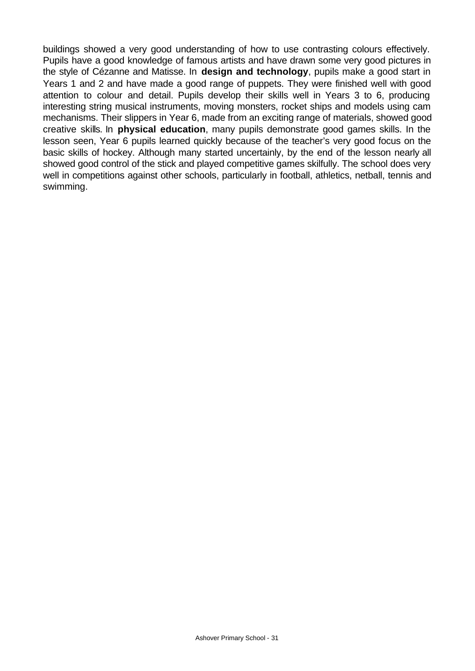buildings showed a very good understanding of how to use contrasting colours effectively. Pupils have a good knowledge of famous artists and have drawn some very good pictures in the style of Cézanne and Matisse. In **design and technology**, pupils make a good start in Years 1 and 2 and have made a good range of puppets. They were finished well with good attention to colour and detail. Pupils develop their skills well in Years 3 to 6, producing interesting string musical instruments, moving monsters, rocket ships and models using cam mechanisms. Their slippers in Year 6, made from an exciting range of materials, showed good creative skills. In **physical education**, many pupils demonstrate good games skills. In the lesson seen, Year 6 pupils learned quickly because of the teacher's very good focus on the basic skills of hockey. Although many started uncertainly, by the end of the lesson nearly all showed good control of the stick and played competitive games skilfully. The school does very well in competitions against other schools, particularly in football, athletics, netball, tennis and swimming.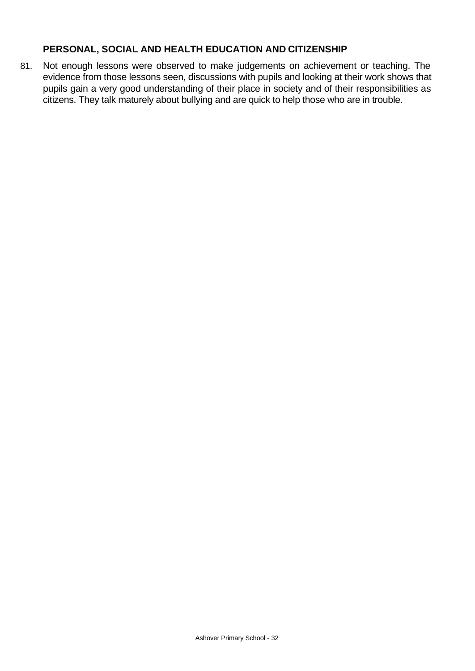#### **PERSONAL, SOCIAL AND HEALTH EDUCATION AND CITIZENSHIP**

81. Not enough lessons were observed to make judgements on achievement or teaching. The evidence from those lessons seen, discussions with pupils and looking at their work shows that pupils gain a very good understanding of their place in society and of their responsibilities as citizens. They talk maturely about bullying and are quick to help those who are in trouble.